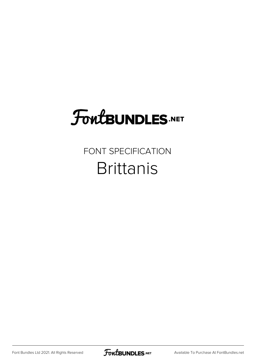# **FoutBUNDLES.NET**

### FONT SPECIFICATION **Brittanis**

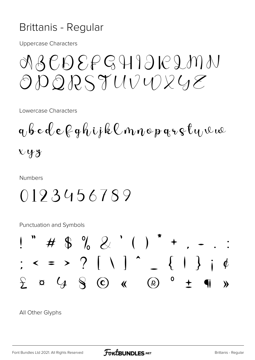#### Brittanis - Regular

**Uppercase Characters** 

## NBCDEFGHIJK2MN ODQRSTUVUXUE

Lowercase Characters

 $q, b c d e \beta q h$ ijklnnopqr $\epsilon t$ yvu  $xyz$ 

**Numbers** 

### 0193456789

**Punctuation and Symbols** 



All Other Glyphs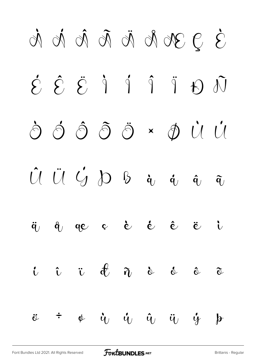